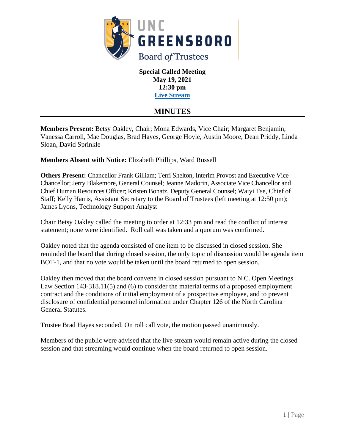

**Special Called Meeting May 19, 2021 12:30 pm [Live Stream](https://go.uncg.edu/bot-livestream)**

# **MINUTES**

**Members Present:** Betsy Oakley, Chair; Mona Edwards, Vice Chair; Margaret Benjamin, Vanessa Carroll, Mae Douglas, Brad Hayes, George Hoyle, Austin Moore, Dean Priddy, Linda Sloan, David Sprinkle

**Members Absent with Notice:** Elizabeth Phillips, Ward Russell

**Others Present:** Chancellor Frank Gilliam; Terri Shelton, Interim Provost and Executive Vice Chancellor; Jerry Blakemore, General Counsel; Jeanne Madorin, Associate Vice Chancellor and Chief Human Resources Officer; Kristen Bonatz, Deputy General Counsel; Waiyi Tse, Chief of Staff; Kelly Harris, Assistant Secretary to the Board of Trustees (left meeting at 12:50 pm); James Lyons, Technology Support Analyst

Chair Betsy Oakley called the meeting to order at 12:33 pm and read the conflict of interest statement; none were identified. Roll call was taken and a quorum was confirmed.

Oakley noted that the agenda consisted of one item to be discussed in closed session. She reminded the board that during closed session, the only topic of discussion would be agenda item BOT-1, and that no vote would be taken until the board returned to open session.

Oakley then moved that the board convene in closed session pursuant to N.C. Open Meetings Law Section 143-318.11(5) and (6) to consider the material terms of a proposed employment contract and the conditions of initial employment of a prospective employee, and to prevent disclosure of confidential personnel information under Chapter 126 of the North Carolina General Statutes.

Trustee Brad Hayes seconded. On roll call vote, the motion passed unanimously.

Members of the public were advised that the live stream would remain active during the closed session and that streaming would continue when the board returned to open session.